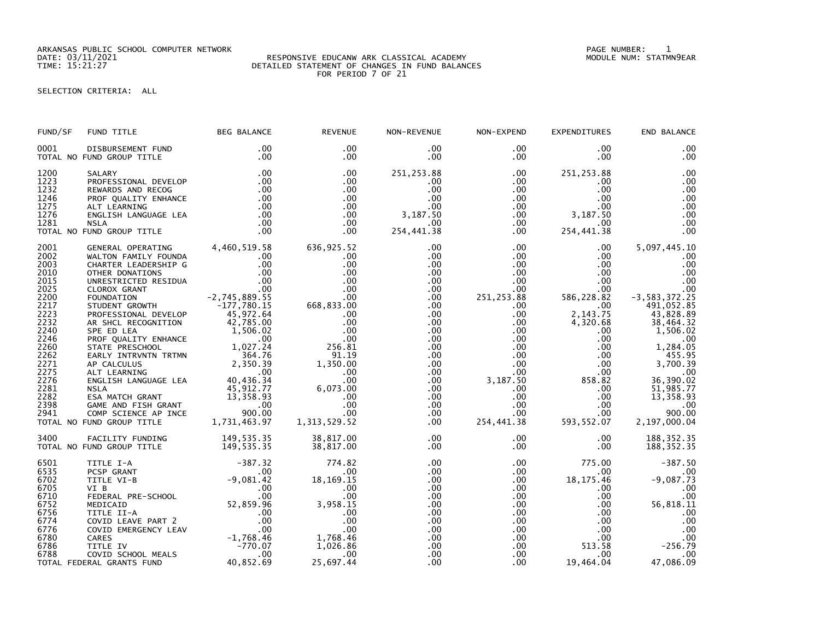ARKANSAS PUBLIC SCHOOL COMPUTER NETWORK PAGE NUMBER: 1

## DATE: 03/11/2021 RESPONSIVE EDUCANW ARK CLASSICAL ACADEMY MODULE NUM: STATMN9EAR TIME: 15:21:27 DETAILED STATEMENT OF CHANGES IN FUND BALANCES FOR PERIOD 7 OF 21

## SELECTION CRITERIA: ALL

| FUND/SF | FUND TITLE                                                                                                                                                                                                                                                                             | <b>BEG BALANCE</b> | <b>REVENUE</b>                       | NON-REVENUE     | NON-EXPEND                        | <b>EXPENDITURES</b>                                                             | END BALANCE                 |
|---------|----------------------------------------------------------------------------------------------------------------------------------------------------------------------------------------------------------------------------------------------------------------------------------------|--------------------|--------------------------------------|-----------------|-----------------------------------|---------------------------------------------------------------------------------|-----------------------------|
| 0001    | DISBURSEMENT FUND<br>TOTAL NO FUND GROUP TITLE                                                                                                                                                                                                                                         | .00<br>.00         | $.00 \,$<br>$.00 \,$                 | .00<br>$.00 \,$ | $.00 \,$<br>$.00 \,$              | $.00 \,$<br>$.00 \,$                                                            | .00<br>.00                  |
| 1200    | SALARY                                                                                                                                                                                                                                                                                 | .00                | .00                                  | 251,253.88      | $.00 \,$                          | 251, 253.88                                                                     | $.00$<br>$.00$              |
| 1223    | PROFESSIONAL DEVELOP                                                                                                                                                                                                                                                                   | .00                | .00                                  | $.00 \,$        | $.00 \,$                          | $.00 \,$                                                                        |                             |
|         |                                                                                                                                                                                                                                                                                        |                    | .00                                  | .00             | $.00 \,$                          | $.00 \,$                                                                        | .00                         |
|         |                                                                                                                                                                                                                                                                                        |                    | .00                                  | .00             | $.00\,$                           | .00                                                                             | .00                         |
|         |                                                                                                                                                                                                                                                                                        |                    | $.00 \,$                             | 3,187.50        | $.00\,$                           | $.00 \,$                                                                        | .00                         |
|         |                                                                                                                                                                                                                                                                                        |                    | $.00 \,$                             |                 |                                   |                                                                                 | .00                         |
|         |                                                                                                                                                                                                                                                                                        |                    | $.00 \,$                             | $.00 \,$        |                                   | $\begin{array}{ccc} .00 & 3,187.50 \ .00 & 0.00 \ .00 & 254,441.38 \end{array}$ | $\overline{00}$             |
|         | 1223 PROFESSIONAL DEVELOP<br>1232 REWARDS AND RECOG .00<br>1246 PROF QUALITY ENHANCE .00<br>1275 ALT LEARNING<br>1276 ENGLISH LANGUAGE LEA .00<br>1281 NSLA .00<br>TOTAL NO FUND GROUP TITLE .00                                                                                       |                    | $.00 \,$                             | 254,441.38      |                                   |                                                                                 | .00                         |
| 2001    | GENERAL OPERATING 4,460,519.58<br>GENERAL OPERATING 4,460,519.58<br>CHARTER LEADERSHIP G .00<br>CHARTER LEADERSHIP G .00<br>OTHER DONATIONS<br>CORENT .00<br>CLOROX GRANT .00<br>CLOROX GRANT .00<br>CLOROX GRANT .00<br>CLOROX GRANT .00<br>CLOROX GRANT .00<br>FOUNDATION .00<br>CLO |                    | 636,925.52                           | .00             | $.00 \,$                          | $.00 \,$                                                                        | 5,097,445.10                |
| 2002    |                                                                                                                                                                                                                                                                                        |                    | .00                                  | $.00 \,$        | .00                               | $.00 \,$                                                                        | .00                         |
| 2003    |                                                                                                                                                                                                                                                                                        |                    | .00                                  | .00             | .00                               | $.00 \,$                                                                        | .00                         |
| 2010    |                                                                                                                                                                                                                                                                                        |                    | .00                                  | .00             | .00                               | $.00 \,$                                                                        | .00                         |
| 2015    |                                                                                                                                                                                                                                                                                        |                    | $0.00$<br>00.<br>00.<br>00. 668, 668 | .00             | $.00\,$                           | $.00 \,$                                                                        | $\overline{00}$             |
| 2025    |                                                                                                                                                                                                                                                                                        |                    |                                      | $.00 \,$        | .00                               | 00.<br>586,228.82                                                               | .00                         |
| 2200    |                                                                                                                                                                                                                                                                                        |                    |                                      | .00             | 251, 253.88                       |                                                                                 | -3,583,372.25<br>491,052.85 |
| 2217    |                                                                                                                                                                                                                                                                                        |                    |                                      | .00             | $.00 \,$                          | $.00 \cdot$                                                                     |                             |
| 2223    |                                                                                                                                                                                                                                                                                        |                    | $\frac{0}{2}$                        | .00             | .00 <sub>1</sub>                  | 2,143.75                                                                        |                             |
| 2232    |                                                                                                                                                                                                                                                                                        |                    |                                      | $.00 \,$        | $.00\,$                           | 4,320.68                                                                        | 43,828.89<br>38,464.32      |
| 2240    |                                                                                                                                                                                                                                                                                        |                    | .00                                  | .00             | $.00\,$                           | $.00 \,$                                                                        | 1,506.02                    |
| 2246    |                                                                                                                                                                                                                                                                                        |                    | .00                                  | $.00 \,$        | .00                               | .00                                                                             | .00                         |
| 2260    |                                                                                                                                                                                                                                                                                        |                    | 256.81                               | $.00 \,$        | $.00\,$                           | .00                                                                             | 1,284.05                    |
| 2262    |                                                                                                                                                                                                                                                                                        |                    | 91.19                                | $.00 \,$        | .00                               | .00                                                                             | 1455.95                     |
| 2271    |                                                                                                                                                                                                                                                                                        |                    | 1,350.00                             | $.00 \,$        | $.00\,$                           | .00                                                                             | 3,700.39                    |
| 2275    |                                                                                                                                                                                                                                                                                        |                    | .00                                  | $.00 \,$        | $.00\,$                           | .00                                                                             | .00                         |
| 2276    |                                                                                                                                                                                                                                                                                        |                    | .00                                  | $.00 \,$        | 3,187.50                          | 858.82                                                                          | 36,390.02                   |
| 2281    |                                                                                                                                                                                                                                                                                        |                    | 6,073.00                             | $.00 \,$        | $.00\,$                           | $.00 \,$                                                                        | 51,985.77                   |
| 2282    |                                                                                                                                                                                                                                                                                        |                    | .00                                  | $.00 \,$        | .00                               | $.00 \,$                                                                        | 13,358.93                   |
| 2398    |                                                                                                                                                                                                                                                                                        |                    | .00                                  | $.00 \,$        |                                   | $.00\,$                                                                         | .00                         |
| 2941    |                                                                                                                                                                                                                                                                                        |                    | .00                                  | $.00 \,$        |                                   | .00                                                                             | 900.00                      |
|         | TOTAL NO FUND GROUP TITLE                                                                                                                                                                                                                                                              |                    | 1, 313, 529.52                       | $.00 \,$        | $00$<br>.00<br>L.38<br>254,441.38 | 593, 552.07                                                                     | 2,197,000.04                |
| 3400    | FACILITY FUNDING                                                                                                                                                                                                                                                                       | 149, 535.35        | 38,817.00                            | .00             | $.00 \,$                          | $.00 \,$                                                                        | 188, 352.35                 |
|         | TOTAL NO FUND GROUP TITLE                                                                                                                                                                                                                                                              | 149, 535.35        | 38,817.00                            | $.00 \,$        | $.00 \,$                          | $.00 \,$                                                                        | 188, 352.35                 |
| 6501    | TITLE I-A<br>PCSP GRANT<br>TITLE VI-B<br>VI B<br>VI B<br>CONTITICATION<br>FEDERAL PRE-SCHOOL<br>MEDICAID<br>MEDICAID<br>MEDICAID<br>MEDICAID<br>TITLE II-A<br>COVID EMERGENCY LEAV<br>CONTINE RERGENCY LEAV<br>CARES<br>TITLE IV<br>COVID SCHOOL MEALS<br>TITLE                        |                    |                                      | $.00 \,$        | $.00 \,$                          | 775.00                                                                          | $-387.50$                   |
| 6535    |                                                                                                                                                                                                                                                                                        |                    |                                      | $.00 \,$        | $.00 \ \,$                        | $.00 \,$                                                                        |                             |
| 6702    |                                                                                                                                                                                                                                                                                        |                    |                                      | $.00 \,$        | $.00\,$                           | 18, 175.46                                                                      | $-9,087.73$                 |
| 6705    |                                                                                                                                                                                                                                                                                        |                    |                                      | $.00 \,$        | $.00 \,$                          | $.00 \,$                                                                        | .00                         |
| 6710    |                                                                                                                                                                                                                                                                                        |                    |                                      | $.00 \,$        | .00                               | $.00 \,$                                                                        | .00                         |
| 6752    |                                                                                                                                                                                                                                                                                        |                    |                                      | $.00 \,$        | $.00\,$                           | $.00 \,$                                                                        | 56,818.11                   |
| 6756    |                                                                                                                                                                                                                                                                                        |                    |                                      | .00             | $.00\,$                           | $.00 \,$                                                                        | .00                         |
| 6774    |                                                                                                                                                                                                                                                                                        |                    | $00$<br>.00<br>.00                   | $.00 \,$        | .00                               | $.00 \,$                                                                        | .00                         |
| 6776    |                                                                                                                                                                                                                                                                                        |                    |                                      | $.00 \,$        | .00                               | .00                                                                             | .00                         |
| 6780    |                                                                                                                                                                                                                                                                                        |                    | 1,768.46                             | .00             | .00                               | .00                                                                             | .00                         |
| 6786    |                                                                                                                                                                                                                                                                                        |                    | 1,026.86                             | $.00 \,$        | $.00\,$                           |                                                                                 | $513.58$ $-256.79$          |
| 6788    |                                                                                                                                                                                                                                                                                        |                    | .00                                  | .00             | $.00 \,$                          | $.00 \,$                                                                        | .00                         |
|         | TOTAL FEDERAL GRANTS FUND                                                                                                                                                                                                                                                              |                    | 25,697.44                            | .00             | .00 <sub>1</sub>                  | 19,464.04                                                                       | 47,086.09                   |
|         |                                                                                                                                                                                                                                                                                        |                    |                                      |                 |                                   |                                                                                 |                             |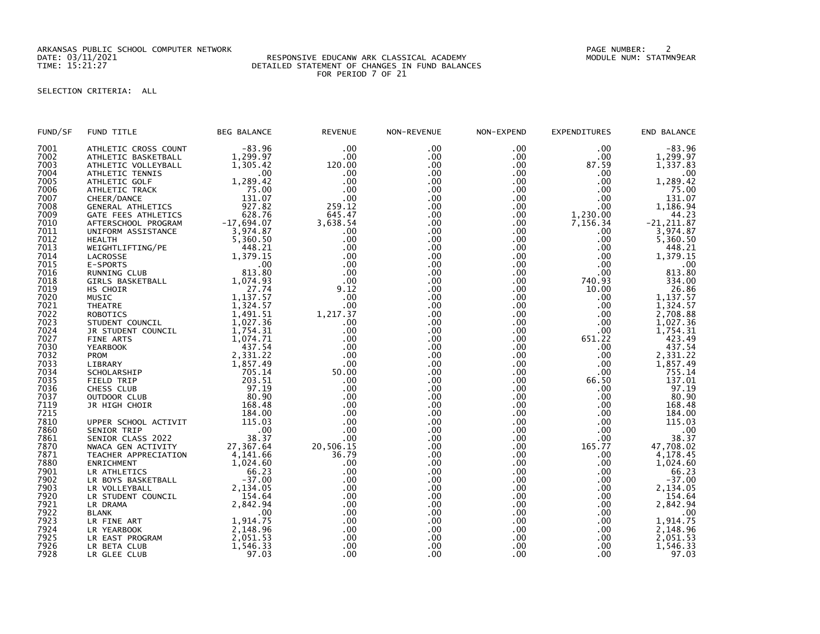ARKANSAS PUBLIC SCHOOL COMPUTER NETWORK PAGE NUMBER: 2

## DATE: 03/11/2021 RESPONSIVE EDUCANW ARK CLASSICAL ACADEMY MODULE NUM: STATMN9EAR TIME: 15:21:27 DETAILED STATEMENT OF CHANGES IN FUND BALANCES FOR PERIOD 7 OF 21

## SELECTION CRITERIA: ALL

| FUND/SF | FUND TITLE           | <b>BEG BALANCE</b> | <b>REVENUE</b> | NON-REVENUE      | NON-EXPEND | <b>EXPENDITURES</b> | END BALANCE   |
|---------|----------------------|--------------------|----------------|------------------|------------|---------------------|---------------|
| 7001    | ATHLETIC CROSS COUNT | $-83.96$           | .00            | .00              | .00        | .00                 | $-83.96$      |
| 7002    | ATHLETIC BASKETBALL  | 1,299.97           | .00            | .00              | .00        | .00                 | 1,299.97      |
| 7003    | ATHLETIC VOLLEYBALL  | 1,305.42           | 120.00         | .00              | .00        | 87.59               | 1,337.83      |
| 7004    | ATHLETIC TENNIS      | .00                | .00            | .00 <sub>1</sub> | $.00 \,$   | .00.                | $.00 \,$      |
| 7005    | ATHLETIC GOLF        | 1,289.42           | .00            | .00              | .00        | .00                 | 1,289.42      |
| 7006    | ATHLETIC TRACK       | 75.00              | .00            | .00              | .00        | .00                 | 75.00         |
| 7007    | CHEER/DANCE          | 131.07             | .00            | .00              | .00        | .00                 | 131.07        |
| 7008    | GENERAL ATHLETICS    | 927.82             | 259.12         | .00              | .00        | .00                 | 1,186.94      |
| 7009    | GATE FEES ATHLETICS  | 628.76             | 645.47         | .00              | $.00 \,$   | 1,230.00            | 44.23         |
| 7010    | AFTERSCHOOL PROGRAM  | $-17,694.07$       | 3,638.54       | .00              | .00        | 7,156.34            | $-21, 211.87$ |
| 7011    | UNIFORM ASSISTANCE   | 3,974.87           | .00            | .00              | .00        | .00                 | 3,974.87      |
| 7012    | <b>HEALTH</b>        | 5,360.50           | .00            | .00              | .00        | .00                 | 5,360.50      |
| 7013    | WEIGHTLIFTING/PE     | 448.21             | .00            | .00              | .00        | .00                 | 448.21        |
| 7014    | LACROSSE             | 1,379.15           | .00            | .00              | .00        | .00                 | 1,379.15      |
| 7015    | E-SPORTS             | .00                | .00            | .00              | .00        | .00                 | .00           |
| 7016    | RUNNING CLUB         | 813.80             | .00            | .00              | .00        | .00                 | 813.80        |
| 7018    | GIRLS BASKETBALL     | 1,074.93           | .00            | .00.             | .00        | 740.93              | 334.00        |
| 7019    | HS CHOIR             | 27.74              | 9.12           | .00              | .00        | 10.00               | 26.86         |
| 7020    | <b>MUSIC</b>         | 1,137.57           | .00            | .00              | .00        | .00                 | 1,137.57      |
| 7021    | <b>THEATRE</b>       | 1,324.57           | .00            | .00              | .00        | .00                 | 1,324.57      |
| 7022    | <b>ROBOTICS</b>      | 1,491.51           | 1,217.37       | .00              | .00        | .00                 | 2,708.88      |
| 7023    | STUDENT COUNCIL      | 1,027.36           | .00            | .00              | .00        | .00                 | 1,027.36      |
| 7024    | JR STUDENT COUNCIL   | 1,754.31           | .00            | .00              | .00        | .00                 | 1,754.31      |
| 7027    | FINE ARTS            | 1,074.71           | .00            | .00              | .00        | 651.22              | 423.49        |
| 7030    | <b>YEARBOOK</b>      | 437.54             | .00            | .00              | .00        | .00.                | 437.54        |
| 7032    | <b>PROM</b>          | 2,331.22           | .00            | .00              | .00        | .00.                | 2,331.22      |
| 7033    | LIBRARY              | 1,857.49           | .00            | .00              | .00        | .00                 | 1,857.49      |
| 7034    | SCHOLARSHIP          | 705.14             | 50.00          | .00.             | .00        | .00                 | 755.14        |
| 7035    | FIELD TRIP           | 203.51             | .00            | .00              | .00        | 66.50               | 137.01        |
| 7036    | CHESS CLUB           | 97.19              | .00            | .00              | .00        | .00                 | 97.19         |
| 7037    | OUTDOOR CLUB         | 80.90              | .00            | .00              | .00        | .00                 | 80.90         |
| 7119    | JR HIGH CHOIR        | 168.48             | .00            | .00              | .00        | .00                 | 168.48        |
| 7215    |                      | 184.00             | .00            | .00              | .00        | .00                 | 184.00        |
| 7810    | UPPER SCHOOL ACTIVIT | 115.03             | .00            | .00              | .00        | .00                 | 115.03        |
| 7860    | SENIOR TRIP          | .00                | .00            | .00              | .00        | .00                 | .00           |
| 7861    | SENIOR CLASS 2022    | 38.37              | .00            | .00              | .00        | .00                 | 38.37         |
| 7870    | NWACA GEN ACTIVITY   | 27,367.64          | 20,506.15      | .00              | .00        | 165.77              | 47,708.02     |
| 7871    | TEACHER APPRECIATION | 4,141.66           | 36.79          | .00              | .00        | .00                 | 4,178.45      |
| 7880    | ENRICHMENT           | 1,024.60           | .00            | .00              | .00        | .00                 | 1,024.60      |
| 7901    | LR ATHLETICS         | 66.23              | .00            | .00              | .00        | .00                 | 66.23         |
| 7902    | LR BOYS BASKETBALL   | $-37.00$           | .00            | .00              | .00        | .00                 | $-37.00$      |
| 7903    | LR VOLLEYBALL        | 2,134.05           | .00            | .00              | .00        | .00                 | 2,134.05      |
| 7920    | LR STUDENT COUNCIL   | 154.64             | .00            | .00              | .00        | .00                 | 154.64        |
| 7921    | LR DRAMA             | 2,842.94           | .00            | .00.             | .00        | .00                 | 2,842.94      |
| 7922    | <b>BLANK</b>         | .00                | .00            | .00              | .00        | .00                 | .00           |
| 7923    | LR FINE ART          | 1,914.75           | .00            | .00              | .00        | .00                 | 1,914.75      |
| 7924    | LR YEARBOOK          | 2,148.96           | .00            | .00              | .00        | .00                 | 2,148.96      |
| 7925    | LR EAST PROGRAM      | 2,051.53           | .00            | .00              | .00        | .00                 | 2,051.53      |
| 7926    | LR BETA CLUB         | 1,546.33           | .00            | .00<br>.00       | .00        | .00<br>.00          | 1,546.33      |
| 7928    | LR GLEE CLUB         | 97.03              | .00            |                  | .00        |                     | 97.03         |